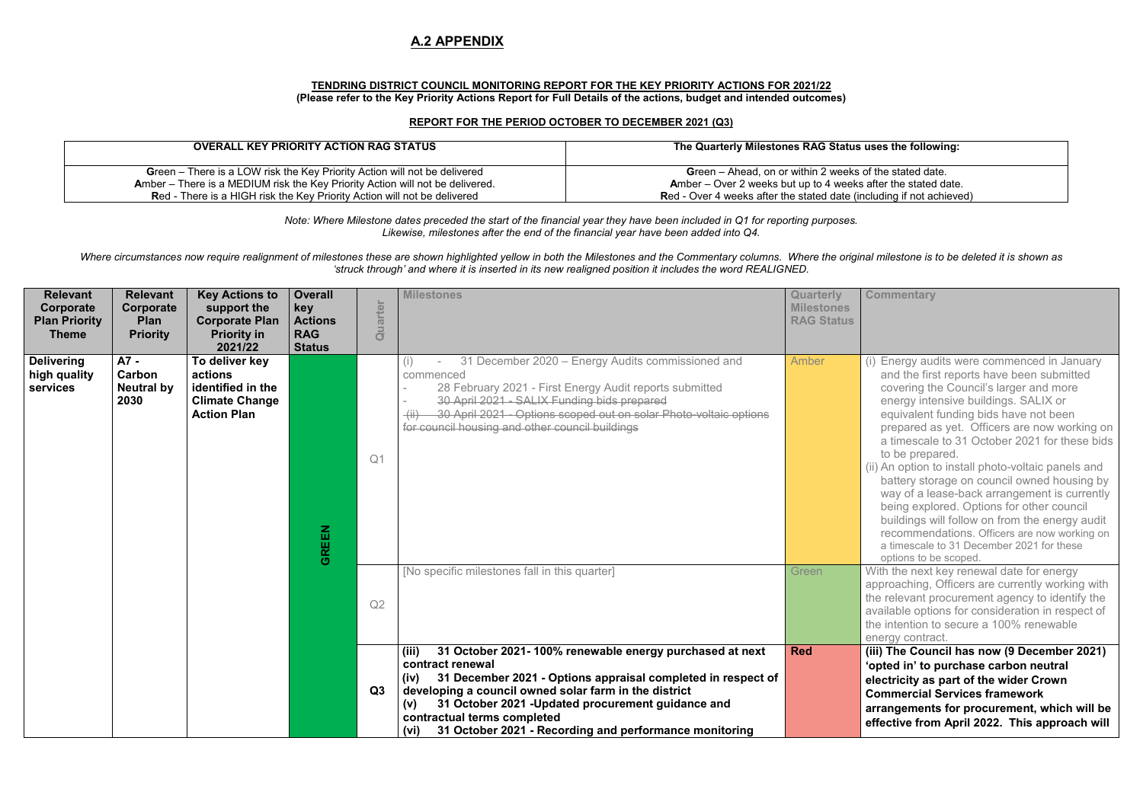#### **TENDRING DISTRICT COUNCIL MONITORING REPORT FOR THE KEY PRIORITY ACTIONS FOR 2021/22 (Please refer to the Key Priority Actions Report for Full Details of the actions, budget and intended outcomes)**

#### **REPORT FOR THE PERIOD OCTOBER TO DECEMBER 2021 (Q3)**

| <b>OVERALL KEY PRIORITY ACTION RAG STATUS</b>                                   | The Quarterly Milestones RAG Status                 |
|---------------------------------------------------------------------------------|-----------------------------------------------------|
| Green – There is a LOW risk the Key Priority Action will not be delivered       | <b>Green</b> – Ahead, on or within 2 weeks          |
| Amber – There is a MEDIUM risk the Key Priority Action will not be delivered.   | <b>Amber</b> – Over 2 weeks but up to 4 weeks       |
| <b>Red - There is a HIGH risk the Key Priority Action will not be delivered</b> | <b>Red - Over 4 weeks after the stated date (in</b> |

Where circumstances now require realignment of milestones these are shown highlighted vellow in both the Milestones and the Commentary columns. Where the original milestone is to be deleted it is shown as *'struck through' and where it is inserted in its new realigned position it includes the word REALIGNED.* 

*Note: Where Milestone dates preceded the start of the financial year they have been included in Q1 for reporting purposes. Likewise, milestones after the end of the financial year have been added into Q4.* 

#### **Commentary**

- (i) Energy audits were commenced in January and the first reports have been submitted covering the Council's larger and more energy intensive buildings. SALIX or equivalent funding bids have not been prepared as yet. Officers are now working on a timescale to 31 October 2021 for these bids to be prepared.
- (ii) An option to install photo-voltaic panels and battery storage on council owned housing by way of a lease-back arrangement is currently being explored. Options for other council buildings will follow on from the energy audit recommendations. Officers are now working on a timescale to 31 December 2021 for these options to be scoped.
- With the next key renewal date for energy approaching, Officers are currently working with the relevant procurement agency to identify the available options for consideration in respect of the intention to secure a 100% renewable energy contract.
- (iii) The Council has now (9 December 2021) **'opted in' to purchase carbon neutral electricity as part of the wider Crown Commercial Services framework arrangements for procurement, which will be effective from April 2022. This approach will**

| <b>Relevant</b><br>Corporate<br><b>Plan Priority</b><br><b>Theme</b> | <b>Relevant</b><br>Corporate<br>Plan<br><b>Priority</b> | <b>Key Actions to</b><br>support the<br><b>Corporate Plan</b><br><b>Priority in</b><br>2021/22 | <b>Overall</b><br>key<br><b>Actions</b><br><b>RAG</b><br><b>Status</b> | Quarter        | <b>Milestones</b>                                                                                                                                                                                                                                                                                                                                                                   | <b>Quarterly</b><br><b>Milestones</b><br><b>RAG Status</b> |
|----------------------------------------------------------------------|---------------------------------------------------------|------------------------------------------------------------------------------------------------|------------------------------------------------------------------------|----------------|-------------------------------------------------------------------------------------------------------------------------------------------------------------------------------------------------------------------------------------------------------------------------------------------------------------------------------------------------------------------------------------|------------------------------------------------------------|
| <b>Delivering</b><br>high quality<br>services                        | A7 -<br>Carbon<br><b>Neutral by</b><br>2030             | To deliver key<br>actions<br>identified in the<br><b>Climate Change</b><br><b>Action Plan</b>  | <b>GREEN</b>                                                           | Q <sub>1</sub> | 31 December 2020 - Energy Audits commissioned and<br>(i)<br>commenced<br>28 February 2021 - First Energy Audit reports submitted<br>30 April 2021 - SALIX Funding bids prepared<br>-30 April 2021 - Options scoped out on solar Photo-voltaic options<br>$\overline{(\mathsf{ii})}$<br>for council housing and other council buildings                                              | Amber                                                      |
|                                                                      |                                                         |                                                                                                |                                                                        | Q2             | [No specific milestones fall in this quarter]                                                                                                                                                                                                                                                                                                                                       | Green                                                      |
|                                                                      |                                                         |                                                                                                |                                                                        | Q3             | 31 October 2021-100% renewable energy purchased at next<br>(iii)<br>contract renewal<br>31 December 2021 - Options appraisal completed in respect of<br>(iv)<br>developing a council owned solar farm in the district<br>31 October 2021 - Updated procurement guidance and<br>(v)<br>contractual terms completed<br>31 October 2021 - Recording and performance monitoring<br>(vi) | <b>Red</b>                                                 |

#### **uses the following:**

of the stated date. after the stated date. red a die ore the state of the stated and stated and a state of the stated and action the stated of the stated o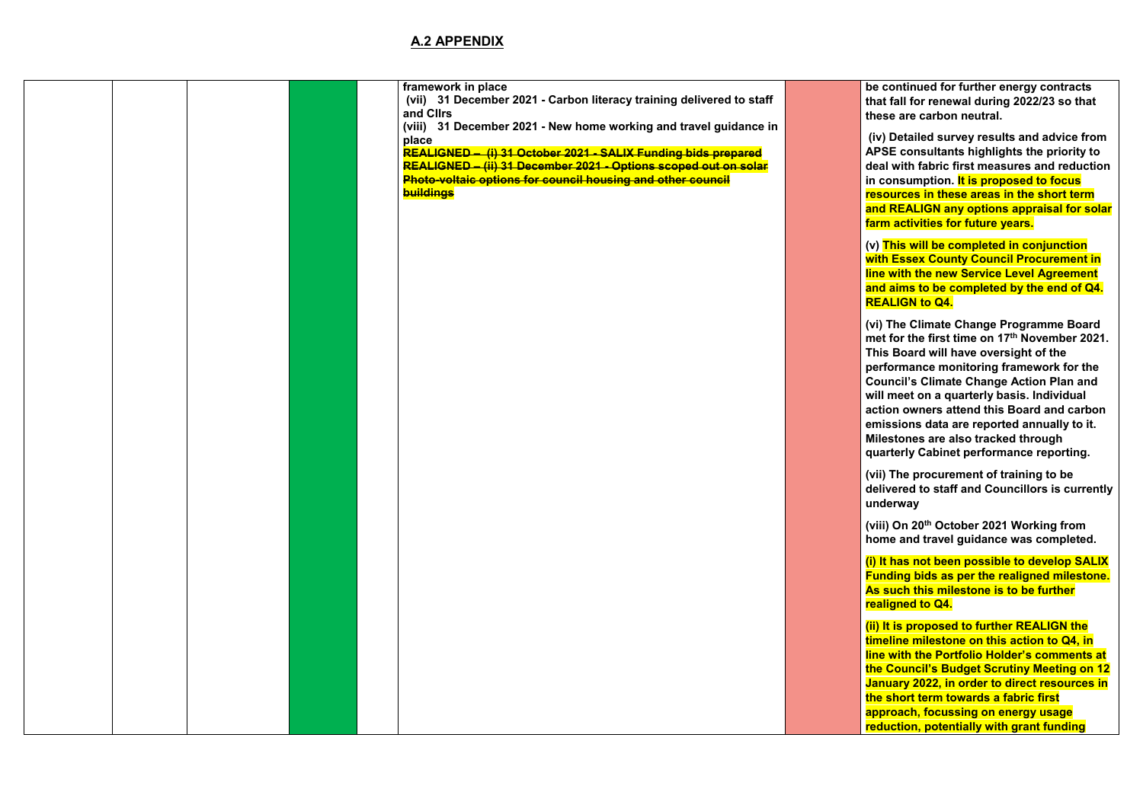|  |  | framework in place<br>(vii) 31 December 2021 - Carbon literacy training delivered to staff<br>and Cllrs<br>(viii) 31 December 2021 - New home working and travel guidance in<br>place<br>REALIGNED - (i) 31 October 2021 - SALIX Funding bids prepared<br>REALIGNED - (ii) 31 December 2021 - Options scoped out on solar<br>Photo-voltaic options for council housing and other council<br><b>buildings</b> |
|--|--|--------------------------------------------------------------------------------------------------------------------------------------------------------------------------------------------------------------------------------------------------------------------------------------------------------------------------------------------------------------------------------------------------------------|
|  |  |                                                                                                                                                                                                                                                                                                                                                                                                              |
|  |  |                                                                                                                                                                                                                                                                                                                                                                                                              |
|  |  |                                                                                                                                                                                                                                                                                                                                                                                                              |
|  |  |                                                                                                                                                                                                                                                                                                                                                                                                              |

**be continued for further energy contracts that fall for renewal during 2022/23 so that these are carbon neutral.** 

 **(iv) Detailed survey results and advice from APSE consultants highlights the priority to deal with fabric first measures and reduction in consumption. It is proposed to focus resources in these areas in the short term and REALIGN any options appraisal for solar farm activities for future years.** 

**(v) This will be completed in conjunction with Essex County Council Procurement in line with the new Service Level Agreement and aims to be completed by the end of Q4. REALIGN to Q4.** 

**(vi) The Climate Change Programme Board met for the first time on 17 th November 2021. This Board will have oversight of the performance monitoring framework for the Council's Climate Change Action Plan and will meet on a quarterly basis. Individual action owners attend this Board and carbon emissions data are reported annually to it. Milestones are also tracked through quarterly Cabinet performance reporting.** 

**(vii) The procurement of training to be delivered to staff and Councillors is currently underway** 

**(viii) On 20th October 2021 Working from home and travel guidance was completed.** 

**(i) It has not been possible to develop SALIX Funding bids as per the realigned milestone. As such this milestone is to be further realigned to Q4.** 

**(ii) It is proposed to further REALIGN the timeline milestone on this action to Q4, in line with the Portfolio Holder's comments at the Council's Budget Scrutiny Meeting on 12 January 2022, in order to direct resources in the short term towards a fabric first approach, focussing on energy usage reduction, potentially with grant funding**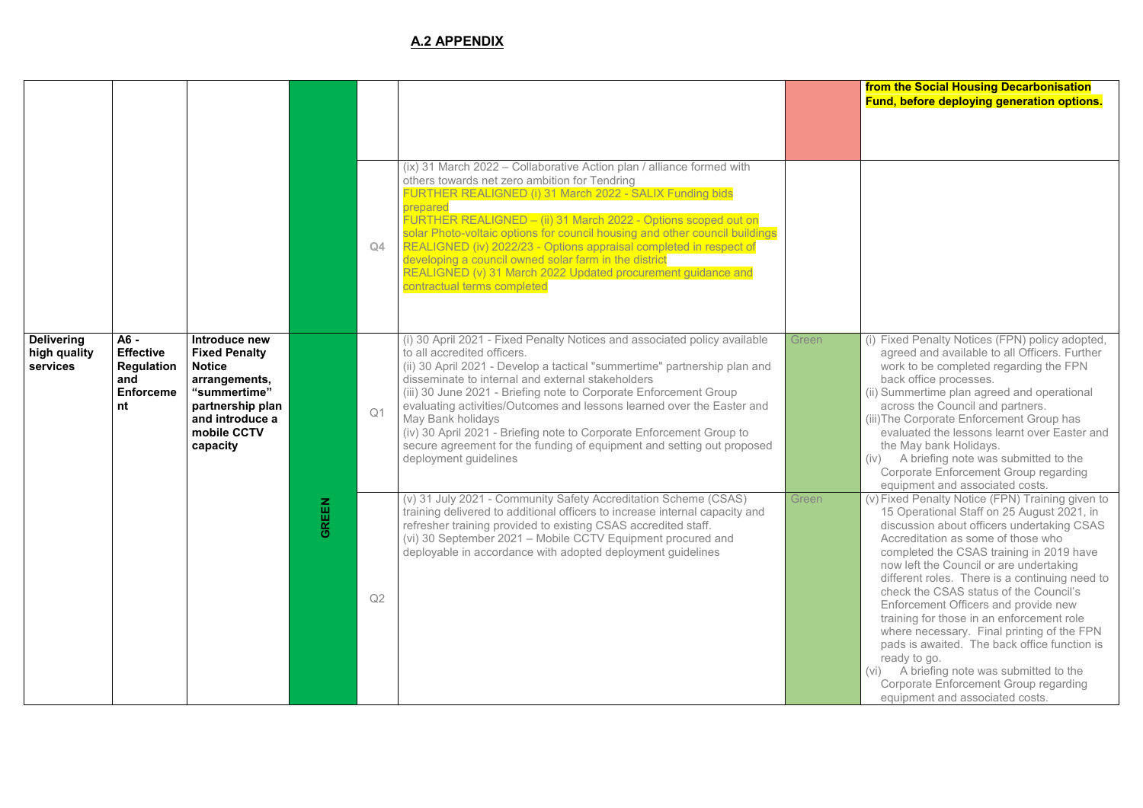#### **from the Social Housing Decarbonisation Fund, before deploying generation options.**

|                                               |                                                                                  |                                                                                                                                                           |              | Q4             | (ix) 31 March 2022 – Collaborative Action plan / alliance formed with<br>others towards net zero ambition for Tendring<br>FURTHER REALIGNED (i) 31 March 2022 - SALIX Funding bids<br>prepared<br>FURTHER REALIGNED - (ii) 31 March 2022 - Options scoped out on<br>solar Photo-voltaic options for council housing and other council buildings<br>REALIGNED (iv) 2022/23 - Options appraisal completed in respect of<br>developing a council owned solar farm in the district<br>REALIGNED (v) 31 March 2022 Updated procurement guidance and<br>contractual terms completed             |       |
|-----------------------------------------------|----------------------------------------------------------------------------------|-----------------------------------------------------------------------------------------------------------------------------------------------------------|--------------|----------------|-------------------------------------------------------------------------------------------------------------------------------------------------------------------------------------------------------------------------------------------------------------------------------------------------------------------------------------------------------------------------------------------------------------------------------------------------------------------------------------------------------------------------------------------------------------------------------------------|-------|
| <b>Delivering</b><br>high quality<br>services | $A6 -$<br><b>Effective</b><br><b>Regulation</b><br>and<br><b>Enforceme</b><br>nt | Introduce new<br><b>Fixed Penalty</b><br><b>Notice</b><br>arrangements,<br>"summertime"<br>partnership plan<br>and introduce a<br>mobile CCTV<br>capacity |              | Q <sub>1</sub> | (i) 30 April 2021 - Fixed Penalty Notices and associated policy available<br>to all accredited officers.<br>(ii) 30 April 2021 - Develop a tactical "summertime" partnership plan and<br>disseminate to internal and external stakeholders<br>(iii) 30 June 2021 - Briefing note to Corporate Enforcement Group<br>evaluating activities/Outcomes and lessons learned over the Easter and<br>May Bank holidays<br>(iv) 30 April 2021 - Briefing note to Corporate Enforcement Group to<br>secure agreement for the funding of equipment and setting out proposed<br>deployment guidelines | Green |
|                                               |                                                                                  |                                                                                                                                                           | <b>GREEN</b> | Q2             | (v) 31 July 2021 - Community Safety Accreditation Scheme (CSAS)<br>training delivered to additional officers to increase internal capacity and<br>refresher training provided to existing CSAS accredited staff.<br>(vi) 30 September 2021 - Mobile CCTV Equipment procured and<br>deployable in accordance with adopted deployment guidelines                                                                                                                                                                                                                                            | Green |

- (i) Fixed Penalty Notices (FPN) policy adopted, agreed and available to all Officers. Further work to be completed regarding the FPN back office processes.
- (ii) Summertime plan agreed and operational across the Council and partners.
- (iii)The Corporate Enforcement Group has evaluated the lessons learnt over Easter and the May bank Holidays.
- (iv) A briefing note was submitted to the Corporate Enforcement Group regarding equipment and associated costs.
- $(v)$  Fixed Penalty Notice (FPN) Training given to 15 Operational Staff on 25 August 2021, in discussion about officers undertaking CSAS Accreditation as some of those who completed the CSAS training in 2019 have now left the Council or are undertaking different roles. There is a continuing need to check the CSAS status of the Council's Enforcement Officers and provide new training for those in an enforcement role where necessary. Final printing of the FPN pads is awaited. The back office function is ready to go.
- (vi) A briefing note was submitted to the Corporate Enforcement Group regarding equipment and associated costs.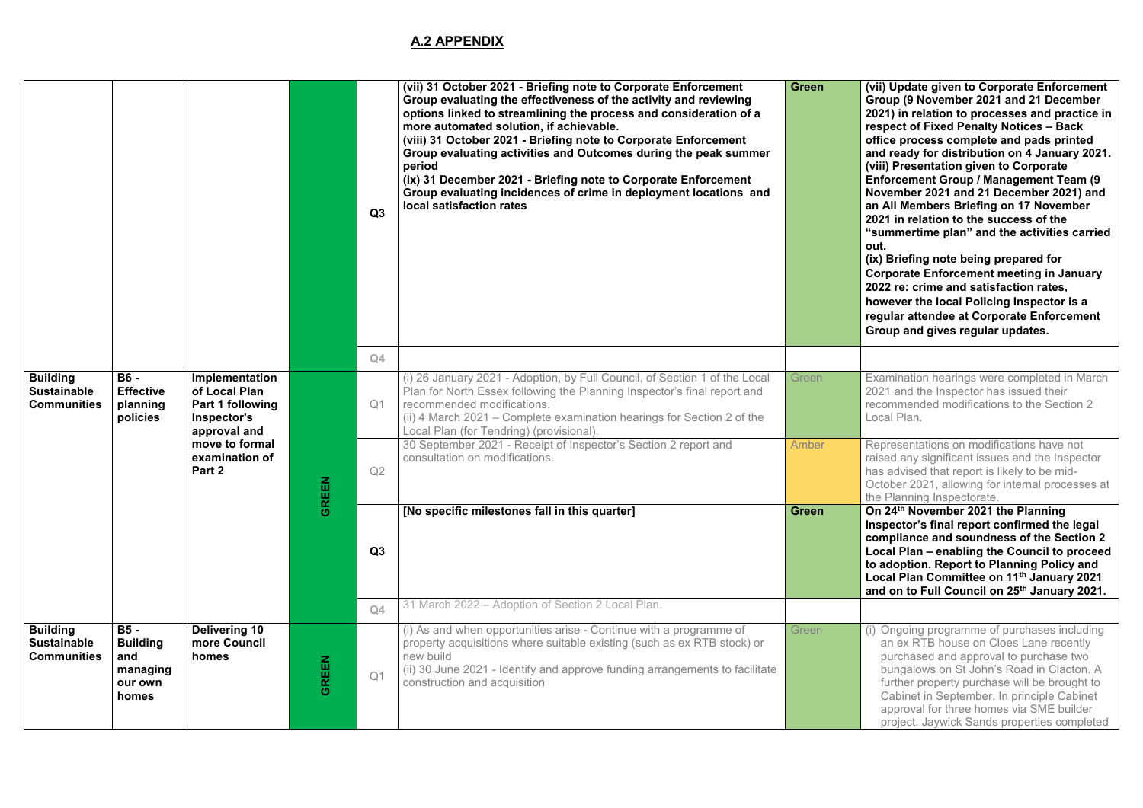**Green (vii) Update given to Corporate Enforcement Group (9 November 2021 and 21 December 2021) in relation to processes and practice in respect of Fixed Penalty Notices – Back office process complete and pads printed and ready for distribution on 4 January 2021. (viii) Presentation given to Corporate Enforcement Group / Management Team (9 November 2021 and 21 December 2021) and an All Members Briefing on 17 November 2021 in relation to the success of the "summertime plan" and the activities carried out.** 

Examination hearings were completed in March 2021 and the Inspector has issued their recommended modifications to the Section 2 Local Plan.

Representations on modifications have not raised any significant issues and the Inspector has advised that report is likely to be mid-October 2021, allowing for internal processes at the Planning Inspectorate.

**(ix) Briefing note being prepared for Corporate Enforcement meeting in January 2022 re: crime and satisfaction rates, however the local Policing Inspector is a regular attendee at Corporate Enforcement Group and gives regular updates.**

**Con 24<sup>th</sup> November 2021 the Planning Inspector's final report confirmed the legal compliance and soundness of the Section 2 Local Plan – enabling the Council to proceed to adoption. Report to Planning Policy and Local Plan Committee on 11 th January 2021 and on to Full Council on 25 th January 2021.** 

|                                                             |                                                                      |                                                                                    |              | Q3                   | (vii) 31 October 2021 - Briefing note to Corporate Enforcement<br>Group evaluating the effectiveness of the activity and reviewing<br>options linked to streamlining the process and consideration of a<br>more automated solution, if achievable.<br>(viii) 31 October 2021 - Briefing note to Corporate Enforcement<br>Group evaluating activities and Outcomes during the peak summer<br>period<br>(ix) 31 December 2021 - Briefing note to Corporate Enforcement<br>Group evaluating incidences of crime in deployment locations and<br>local satisfaction rates | <b>Green</b> |
|-------------------------------------------------------------|----------------------------------------------------------------------|------------------------------------------------------------------------------------|--------------|----------------------|----------------------------------------------------------------------------------------------------------------------------------------------------------------------------------------------------------------------------------------------------------------------------------------------------------------------------------------------------------------------------------------------------------------------------------------------------------------------------------------------------------------------------------------------------------------------|--------------|
| <b>Building</b><br><b>Sustainable</b><br><b>Communities</b> | <b>B6 -</b><br><b>Effective</b><br>planning<br>policies              | Implementation<br>of Local Plan<br>Part 1 following<br>Inspector's<br>approval and |              | Q4<br>Q <sub>1</sub> | (i) 26 January 2021 - Adoption, by Full Council, of Section 1 of the Local<br>Plan for North Essex following the Planning Inspector's final report and<br>recommended modifications.<br>(ii) 4 March 2021 – Complete examination hearings for Section 2 of the<br>Local Plan (for Tendring) (provisional).                                                                                                                                                                                                                                                           | Green        |
|                                                             |                                                                      | move to formal<br>examination of<br>Part 2                                         | <b>REEN</b>  | Q2                   | 30 September 2021 - Receipt of Inspector's Section 2 report and<br>consultation on modifications.                                                                                                                                                                                                                                                                                                                                                                                                                                                                    | Amber        |
|                                                             |                                                                      |                                                                                    | ō            |                      | [No specific milestones fall in this quarter]                                                                                                                                                                                                                                                                                                                                                                                                                                                                                                                        | <b>Green</b> |
|                                                             |                                                                      |                                                                                    |              | Q3                   |                                                                                                                                                                                                                                                                                                                                                                                                                                                                                                                                                                      |              |
|                                                             |                                                                      |                                                                                    |              | Q4                   | 31 March 2022 - Adoption of Section 2 Local Plan.                                                                                                                                                                                                                                                                                                                                                                                                                                                                                                                    |              |
| <b>Building</b><br><b>Sustainable</b><br><b>Communities</b> | <b>B5-</b><br><b>Building</b><br>and<br>managing<br>our own<br>homes | <b>Delivering 10</b><br>more Council<br>homes                                      | <b>GREEN</b> | Q <sub>1</sub>       | (i) As and when opportunities arise - Continue with a programme of<br>property acquisitions where suitable existing (such as ex RTB stock) or<br>new build<br>(ii) 30 June 2021 - Identify and approve funding arrangements to facilitate<br>construction and acquisition                                                                                                                                                                                                                                                                                            | Green        |

(i) Ongoing programme of purchases including an ex RTB house on Cloes Lane recently purchased and approval to purchase two bungalows on St John's Road in Clacton. A further property purchase will be brought to Cabinet in September. In principle Cabinet approval for three homes via SME builder project. Jaywick Sands properties completed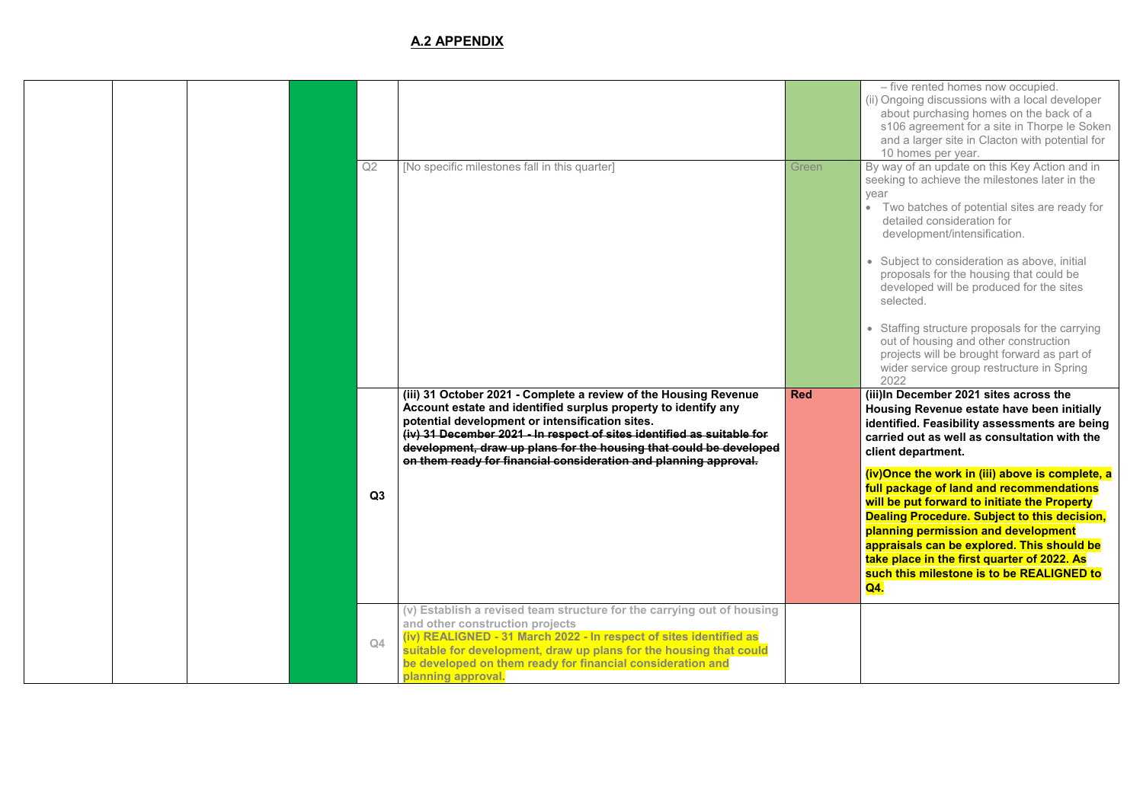– five rented homes now occupied.

(ii) Ongoing discussions with a local developer about purchasing homes on the back of a s106 agreement for a site in Thorpe le Soken and a larger site in Clacton with potential for 10 homes per year.

By way of an update on this Key Action and in seeking to achieve the milestones later in the year

- Two batches of potential sites are ready for detailed consideration for development/intensification.
- Subject to consideration as above, initial proposals for the housing that could be developed will be produced for the sites selected.
- Staffing structure proposals for the carrying out of housing and other construction projects will be brought forward as part of wider service group restructure in Spring 2022

**Red (iii)In December 2021 sites across the Housing Revenue estate have been initially identified. Feasibility assessments are being carried out as well as consultation with the client department.** 

|  |  | Q2             | [No specific milestones fall in this quarter]                                                                                                                                                                                                                                                                                                                                                             | Green      |
|--|--|----------------|-----------------------------------------------------------------------------------------------------------------------------------------------------------------------------------------------------------------------------------------------------------------------------------------------------------------------------------------------------------------------------------------------------------|------------|
|  |  |                |                                                                                                                                                                                                                                                                                                                                                                                                           |            |
|  |  |                |                                                                                                                                                                                                                                                                                                                                                                                                           |            |
|  |  |                |                                                                                                                                                                                                                                                                                                                                                                                                           |            |
|  |  |                | (iii) 31 October 2021 - Complete a review of the Housing Revenue<br>Account estate and identified surplus property to identify any<br>potential development or intensification sites.<br>(iv) 31 December 2021 - In respect of sites identified as suitable for<br>development, draw up plans for the housing that could be developed<br>on them ready for financial consideration and planning approval. | <b>Red</b> |
|  |  | Q <sub>3</sub> |                                                                                                                                                                                                                                                                                                                                                                                                           |            |
|  |  |                |                                                                                                                                                                                                                                                                                                                                                                                                           |            |
|  |  | Q4             | (v) Establish a revised team structure for the carrying out of housing<br>and other construction projects<br>(iv) REALIGNED - 31 March 2022 - In respect of sites identified as<br>suitable for development, draw up plans for the housing that could<br>be developed on them ready for financial consideration and<br>planning approval.                                                                 |            |

**(iv)Once the work in (iii) above is complete, a full package of land and recommendations will be put forward to initiate the Property Dealing Procedure. Subject to this decision, planning permission and development appraisals can be explored. This should be take place in the first quarter of 2022. As such this milestone is to be REALIGNED to Q4.**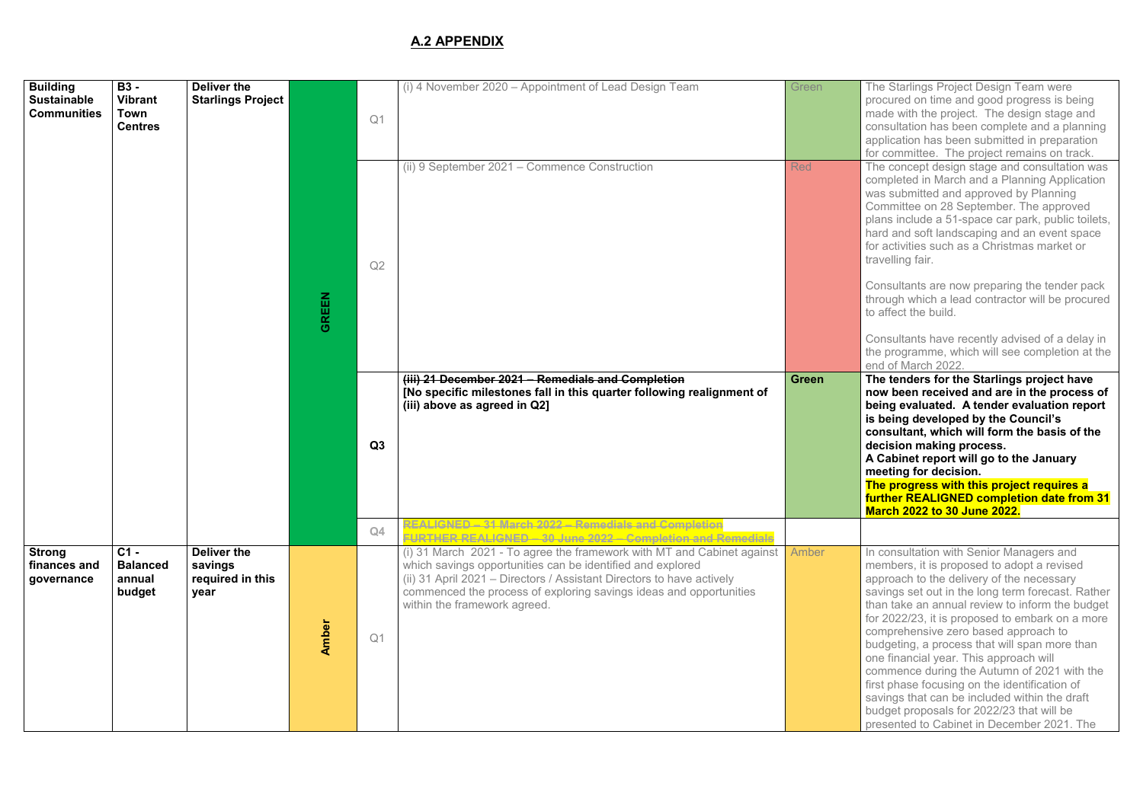The Starlings Project Design Team were procured on time and good progress is being made with the project. The design stage and consultation has been complete and a planning application has been submitted in preparation for committee. The project remains on track. The concept design stage and consultation was completed in March and a Planning Application was submitted and approved by Planning Committee on 28 September. The approved plans include a 51-space car park, public toilets, hard and soft landscaping and an event space for activities such as a Christmas market or travelling fair.

**The tenders for the Starlings project have now been received and are in the process of being evaluated. A tender evaluation report is being developed by the Council's consultant, which will form the basis of the decision making process.** 

Consultants are now preparing the tender pack through which a lead contractor will be procured to affect the build.

Consultants have recently advised of a delay in the programme, which will see completion at the end of March 2022.

| <b>Building</b><br><b>Sustainable</b><br><b>Communities</b> | <b>B3 -</b><br><b>Vibrant</b><br>Town<br><b>Centres</b> | <b>Deliver the</b><br><b>Starlings Project</b>     |              | Q <sub>1</sub><br>Q2 | (i) 4 November 2020 - Appointment of Lead Design Team<br>(ii) 9 September 2021 - Commence Construction                                                                                                                                                                                                                                                                             | Green<br><b>Red</b> |
|-------------------------------------------------------------|---------------------------------------------------------|----------------------------------------------------|--------------|----------------------|------------------------------------------------------------------------------------------------------------------------------------------------------------------------------------------------------------------------------------------------------------------------------------------------------------------------------------------------------------------------------------|---------------------|
|                                                             |                                                         |                                                    | <b>GREEN</b> | Q3                   | (iii) 21 December 2021 - Remedials and Completion<br>[No specific milestones fall in this quarter following realignment of<br>(iii) above as agreed in Q2]                                                                                                                                                                                                                         | <b>Green</b>        |
|                                                             |                                                         |                                                    |              | Q4                   | <b>REALIGNED - 31 March 2022 - Remedials and Completion</b>                                                                                                                                                                                                                                                                                                                        |                     |
| <b>Strong</b><br>finances and<br>governance                 | $C1 -$<br><b>Balanced</b><br>annual<br>budget           | Deliver the<br>savings<br>required in this<br>year | <b>Amber</b> | Q <sub>1</sub>       | FURTHER REALIGNED - 30 June 2022 - Completion and Remedials<br>(i) 31 March 2021 - To agree the framework with MT and Cabinet against<br>which savings opportunities can be identified and explored<br>(ii) 31 April 2021 - Directors / Assistant Directors to have actively<br>commenced the process of exploring savings ideas and opportunities<br>within the framework agreed. | Amber               |

In consultation with Senior Managers and members, it is proposed to adopt a revised approach to the delivery of the necessary savings set out in the long term forecast. Rather than take an annual review to inform the budget for 2022/23, it is proposed to embark on a more comprehensive zero based approach to budgeting, a process that will span more than one financial year. This approach will commence during the Autumn of 2021 with the first phase focusing on the identification of savings that can be included within the draft budget proposals for 2022/23 that will be presented to Cabinet in December 2021. The

**A Cabinet report will go to the January meeting for decision.** 

**The progress with this project requires a further REALIGNED completion date from 31 March 2022 to 30 June 2022.**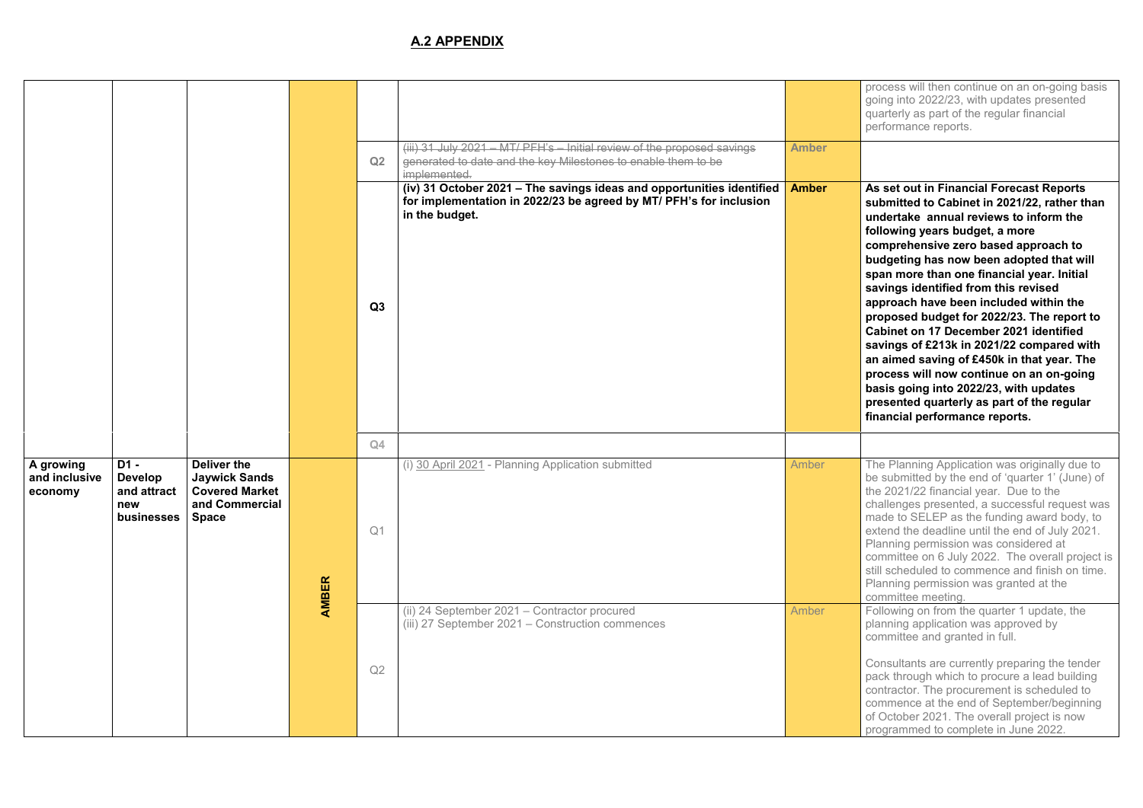process will then continue on an on-going basis going into 2022/23, with updates presented quarterly as part of the regular financial performance reports.

**Amber As set out in Financial Forecast Reports submitted to Cabinet in 2021/22, rather than undertake annual reviews to inform the following years budget, a more comprehensive zero based approach to budgeting has now been adopted that will span more than one financial year. Initial savings identified from this revised approach have been included within the proposed budget for 2022/23. The report to Cabinet on 17 December 2021 identified savings of £213k in 2021/22 compared with an aimed saving of £450k in that year. The process will now continue on an on-going basis going into 2022/23, with updates presented quarterly as part of the regular financial performance reports.** 

The Planning Application was originally due to be submitted by the end of 'quarter 1' (June) of the 2021/22 financial year. Due to the challenges presented, a successful request was made to SELEP as the funding award body, to extend the deadline until the end of July 2021. Planning permission was considered at committee on 6 July 2022. The overall project is still scheduled to commence and finish on time. Planning permission was granted at the committee meeting.

Following on from the quarter 1 update, the planning application was approved by committee and granted in full.

|                                       |                                                            |                                                                                                       |              | Q2<br>Q3       | (iii) 31 July 2021 - MT/ PFH's - Initial review of the proposed savings<br>generated to date and the key Milestones to enable them to be<br>implemented.<br>(iv) 31 October 2021 - The savings ideas and opportunities identified<br>for implementation in 2022/23 be agreed by MT/ PFH's for inclusion<br>in the budget. | <b>Amber</b><br><b>Amber</b> |
|---------------------------------------|------------------------------------------------------------|-------------------------------------------------------------------------------------------------------|--------------|----------------|---------------------------------------------------------------------------------------------------------------------------------------------------------------------------------------------------------------------------------------------------------------------------------------------------------------------------|------------------------------|
|                                       |                                                            |                                                                                                       |              | Q4             |                                                                                                                                                                                                                                                                                                                           |                              |
| A growing<br>and inclusive<br>economy | D1 -<br><b>Develop</b><br>and attract<br>new<br>businesses | <b>Deliver the</b><br><b>Jaywick Sands</b><br><b>Covered Market</b><br>and Commercial<br><b>Space</b> | <b>AMBER</b> | Q <sub>1</sub> | (i) 30 April 2021 - Planning Application submitted                                                                                                                                                                                                                                                                        | Amber                        |
|                                       |                                                            |                                                                                                       |              | Q2             | (ii) 24 September 2021 - Contractor procured<br>(iii) 27 September 2021 - Construction commences                                                                                                                                                                                                                          | Amber                        |

Consultants are currently preparing the tender pack through which to procure a lead building contractor. The procurement is scheduled to commence at the end of September/beginning of October 2021. The overall project is now programmed to complete in June 2022.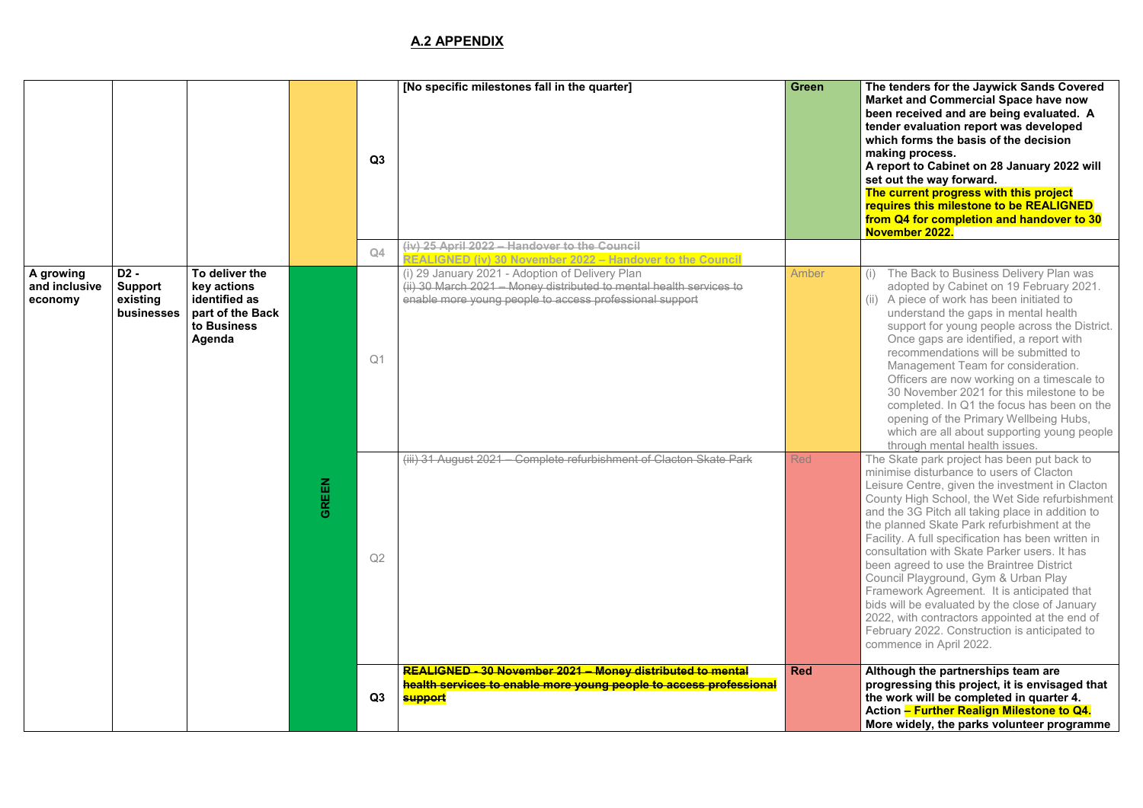**[No specific milestones fall in the quarter] Green The tenders for the Jaywick Sands Covered Market and Commercial Space have now been received and are being evaluated. A tender evaluation report was developed which forms the basis of the decision making process.** 

**A report to Cabinet on 28 January 2022 will set out the way forward.** 

**The current progress with this project requires this milestone to be REALIGNED from Q4 for completion and handover to 30 November 2022.** 

- (i) The Back to Business Delivery Plan was adopted by Cabinet on 19 February 2021.
- (ii) A piece of work has been initiated to understand the gaps in mental health support for young people across the District. Once gaps are identified, a report with recommendations will be submitted to Management Team for consideration. Officers are now working on a timescale to 30 November 2021 for this milestone to be completed. In Q1 the focus has been on the opening of the Primary Wellbeing Hubs, which are all about supporting young people through mental health issues.

The Skate park project has been put back to minimise disturbance to users of Clacton Leisure Centre, given the investment in Clacton County High School, the Wet Side refurbishment and the 3G Pitch all taking place in addition to the planned Skate Park refurbishment at the Facility. A full specification has been written in consultation with Skate Parker users. It has been agreed to use the Braintree District Council Playground, Gym & Urban Play Framework Agreement. It is anticipated that bids will be evaluated by the close of January 2022, with contractors appointed at the end of February 2022. Construction is anticipated to commence in April 2022.

|                                       |                                                  |                                                                                             |                  | Q3                   | [No specific milestones fall in the quarter]                                                                                                                                                                                                                                                   | <b>Green</b>             |
|---------------------------------------|--------------------------------------------------|---------------------------------------------------------------------------------------------|------------------|----------------------|------------------------------------------------------------------------------------------------------------------------------------------------------------------------------------------------------------------------------------------------------------------------------------------------|--------------------------|
| A growing<br>and inclusive<br>economy | D2 -<br><b>Support</b><br>existing<br>businesses | To deliver the<br>key actions<br>identified as<br>part of the Back<br>to Business<br>Agenda |                  | Q4<br>Q <sub>1</sub> | (iv) 25 April 2022 - Handover to the Council<br>REALIGNED (iv) 30 November 2022 - Handover to the Council<br>(i) 29 January 2021 - Adoption of Delivery Plan<br>(ii) 30 March 2021 - Money distributed to mental health services to<br>enable more young people to access professional support | Amber                    |
|                                       |                                                  |                                                                                             | <b>REEN</b><br>ပ | Q2                   | (iii) 31 August 2021 – Complete refurbishment of Clacton Skate Park<br>REALIGNED - 30 November 2021 - Money distributed to mental                                                                                                                                                              | <b>Red</b><br><b>Red</b> |
|                                       |                                                  |                                                                                             |                  | Q <sub>3</sub>       | health services to enable more young people to access professional<br><b>support</b>                                                                                                                                                                                                           |                          |

**Red Although the partnerships team are progressing this project, it is envisaged that the work will be completed in quarter 4. Action – Further Realign Milestone to Q4. More widely, the parks volunteer programme**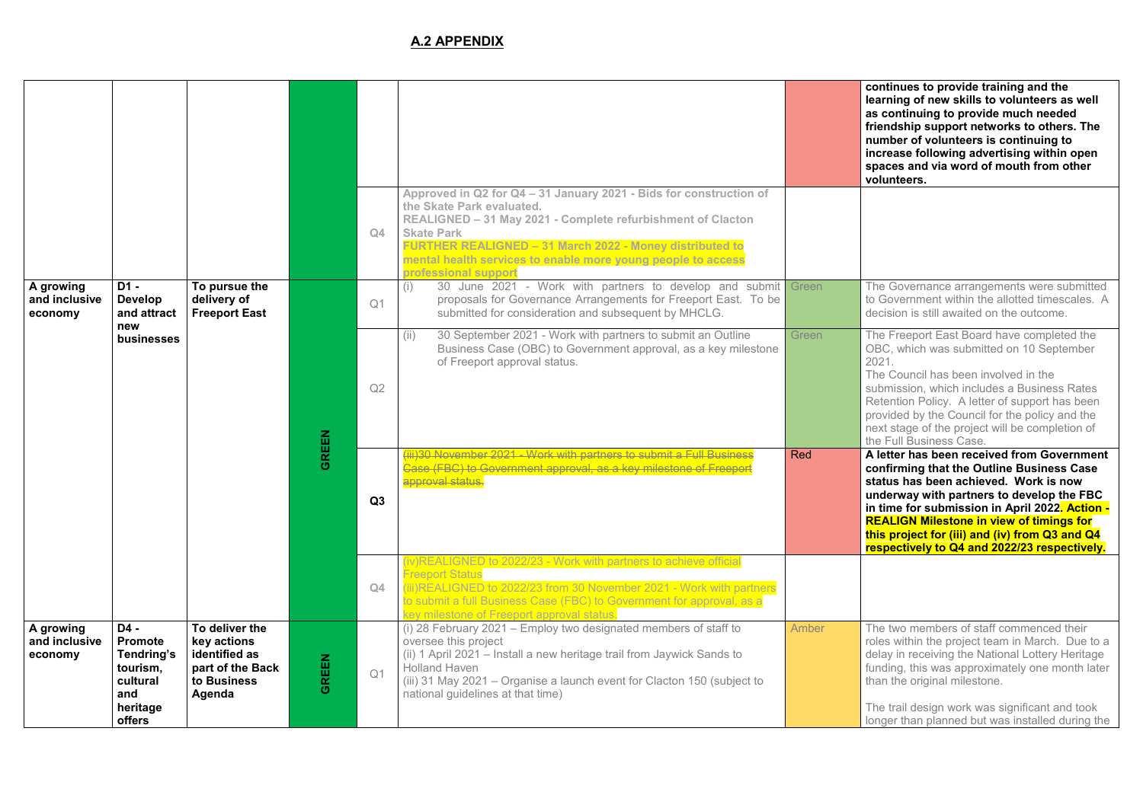**continues to provide training and the learning of new skills to volunteers as well as continuing to provide much needed friendship support networks to others. The number of volunteers is continuing to increase following advertising within open spaces and via word of mouth from other volunteers.** 

The Governance arrangements were submitted to Government within the allotted timescales. A decision is still awaited on the outcome.

The Freeport East Board have completed the OBC, which was submitted on 10 September 2021.

A letter has been received from Government **confirming that the Outline Business Case status has been achieved. Work is now underway with partners to develop the FBC in time for submission in April 2022. Action - REALIGN Milestone in view of timings for this project for (iii) and (iv) from Q3 and Q4 respectively to Q4 and 2022/23 respectively.** 

The Council has been involved in the submission, which includes a Business Rates Retention Policy. A letter of support has been provided by the Council for the policy and the next stage of the project will be completion of the Full Business Case.

The two members of staff commenced their roles within the project team in March. Due to a delay in receiving the National Lottery Heritage funding, this was approximately one month later than the original milestone.

|                                       |                                                                                             |                                                                                             |              | Q4             | Approved in Q2 for Q4 - 31 January 2021 - Bids for construction of<br>the Skate Park evaluated.<br>REALIGNED - 31 May 2021 - Complete refurbishment of Clacton<br><b>Skate Park</b><br>FURTHER REALIGNED - 31 March 2022 - Money distributed to<br>mental health services to enable more young people to access<br>professional support |            |
|---------------------------------------|---------------------------------------------------------------------------------------------|---------------------------------------------------------------------------------------------|--------------|----------------|-----------------------------------------------------------------------------------------------------------------------------------------------------------------------------------------------------------------------------------------------------------------------------------------------------------------------------------------|------------|
| A growing<br>and inclusive<br>economy | $D1 -$<br><b>Develop</b><br>and attract                                                     | To pursue the<br>delivery of<br><b>Freeport East</b>                                        |              | Q <sub>1</sub> | 30 June 2021 - Work with partners to develop and submit Green<br>(i)<br>proposals for Governance Arrangements for Freeport East. To be<br>submitted for consideration and subsequent by MHCLG.                                                                                                                                          |            |
|                                       | new<br>businesses                                                                           |                                                                                             | <b>GREEN</b> | Q2             | 30 September 2021 - Work with partners to submit an Outline<br>(ii)<br>Business Case (OBC) to Government approval, as a key milestone<br>of Freeport approval status.                                                                                                                                                                   | Green      |
|                                       |                                                                                             |                                                                                             |              | Q3             | iii)30 November 2021 - Work with partners to submit a Full Business<br>.<br><del>Case (FBC) to Government approval, as a key milestone of Freepo</del> r<br>approval status.                                                                                                                                                            | <b>Red</b> |
|                                       |                                                                                             |                                                                                             |              | Q4             | (iv)REALIGNED to 2022/23 - Work with partners to achieve official<br><b>Freeport Status</b><br>(iii)REALIGNED to 2022/23 from 30 November 2021 - Work with partners<br>to submit a full Business Case (FBC) to Government for approval, as a<br>key milestone of Freeport approval status.                                              |            |
| A growing<br>and inclusive<br>economy | $D4 -$<br><b>Promote</b><br>Tendring's<br>tourism,<br>cultural<br>and<br>heritage<br>offers | To deliver the<br>key actions<br>identified as<br>part of the Back<br>to Business<br>Agenda | <b>GREEN</b> | Q <sub>1</sub> | (i) 28 February 2021 - Employ two designated members of staff to<br>oversee this project<br>(ii) 1 April 2021 – Install a new heritage trail from Jaywick Sands to<br><b>Holland Haven</b><br>(iii) 31 May 2021 - Organise a launch event for Clacton 150 (subject to<br>national guidelines at that time)                              | Amber      |

The trail design work was significant and took longer than planned but was installed during the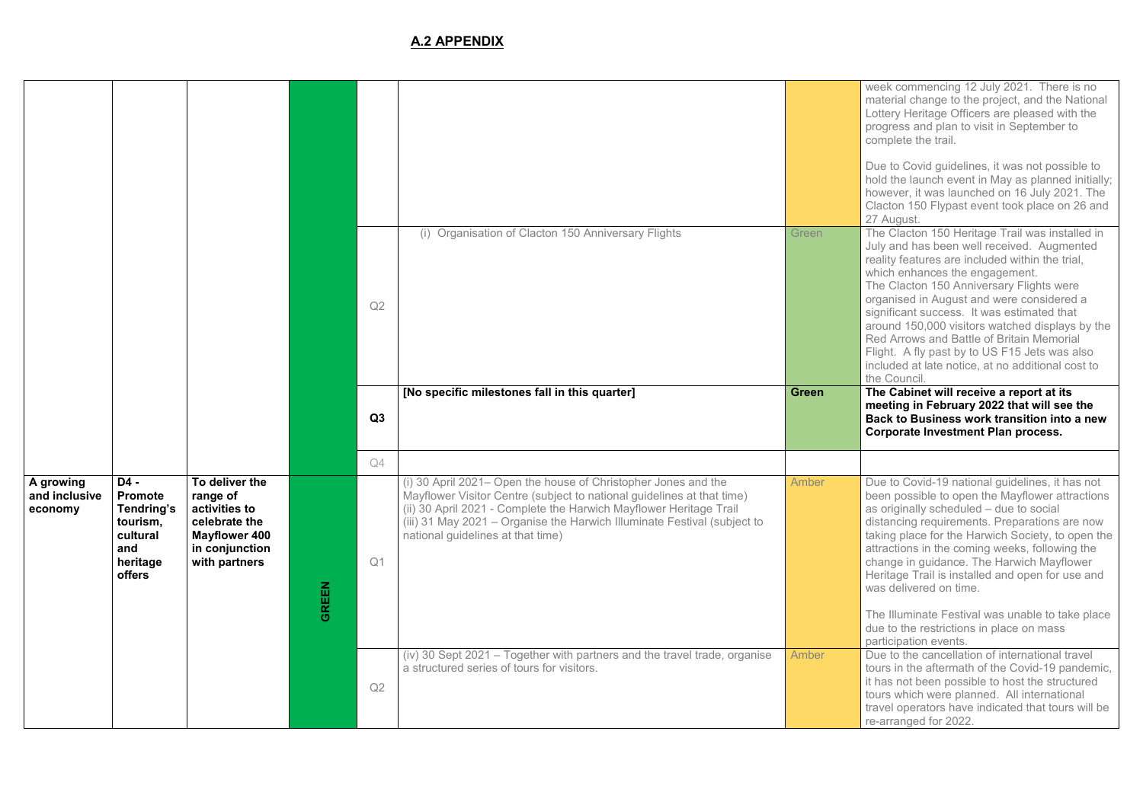week commencing 12 July 2021. There is no material change to the project, and the National Lottery Heritage Officers are pleased with the progress and plan to visit in September to complete the trail.

Due to Covid guidelines, it was not possible to hold the launch event in May as planned initially; however, it was launched on 16 July 2021. The Clacton 150 Flypast event took place on 26 and 27 August.

The Clacton 150 Heritage Trail was installed in July and has been well received. Augmented reality features are included within the trial, which enhances the engagement.

**The Cabinet will receive a report at its meeting in February 2022 that will see the Back to Business work transition into a new Corporate Investment Plan process.** 

The Clacton 150 Anniversary Flights were organised in August and were considered a significant success. It was estimated that around 150,000 visitors watched displays by the Red Arrows and Battle of Britain Memorial Flight. A fly past by to US F15 Jets was also included at late notice, at no additional cost to the Council.

Due to Covid-19 national guidelines, it has not been possible to open the Mayflower attractions as originally scheduled – due to social distancing requirements. Preparations are now taking place for the Harwich Society, to open the attractions in the coming weeks, following the change in guidance. The Harwich Mayflower Heritage Trail is installed and open for use and was delivered on time.

Due to the cancellation of international travel tours in the aftermath of the Covid-19 pandemic, it has not been possible to host the structured tours which were planned. All international travel operators have indicated that tours will be re-arranged for 2022.

|                                       |                                                                                                  |                                                                                                                         |              | Q2 | (i) Organisation of Clacton 150 Anniversary Flights                                                                                                                                                                                                                                                                             | Green        |
|---------------------------------------|--------------------------------------------------------------------------------------------------|-------------------------------------------------------------------------------------------------------------------------|--------------|----|---------------------------------------------------------------------------------------------------------------------------------------------------------------------------------------------------------------------------------------------------------------------------------------------------------------------------------|--------------|
|                                       |                                                                                                  |                                                                                                                         |              | Q3 | [No specific milestones fall in this quarter]                                                                                                                                                                                                                                                                                   | <b>Green</b> |
|                                       |                                                                                                  |                                                                                                                         |              | Q4 |                                                                                                                                                                                                                                                                                                                                 |              |
| A growing<br>and inclusive<br>economy | D4 -<br><b>Promote</b><br><b>Tendring's</b><br>tourism,<br>cultural<br>and<br>heritage<br>offers | To deliver the<br>range of<br>activities to<br>celebrate the<br><b>Mayflower 400</b><br>in conjunction<br>with partners | <b>GREEN</b> | Q1 | (i) 30 April 2021– Open the house of Christopher Jones and the<br>Mayflower Visitor Centre (subject to national guidelines at that time)<br>(ii) 30 April 2021 - Complete the Harwich Mayflower Heritage Trail<br>(iii) 31 May 2021 - Organise the Harwich Illuminate Festival (subject to<br>national guidelines at that time) | Amber        |
|                                       |                                                                                                  |                                                                                                                         |              | Q2 | (iv) 30 Sept 2021 - Together with partners and the travel trade, organise<br>a structured series of tours for visitors.                                                                                                                                                                                                         | Amber        |

The Illuminate Festival was unable to take place due to the restrictions in place on mass participation events.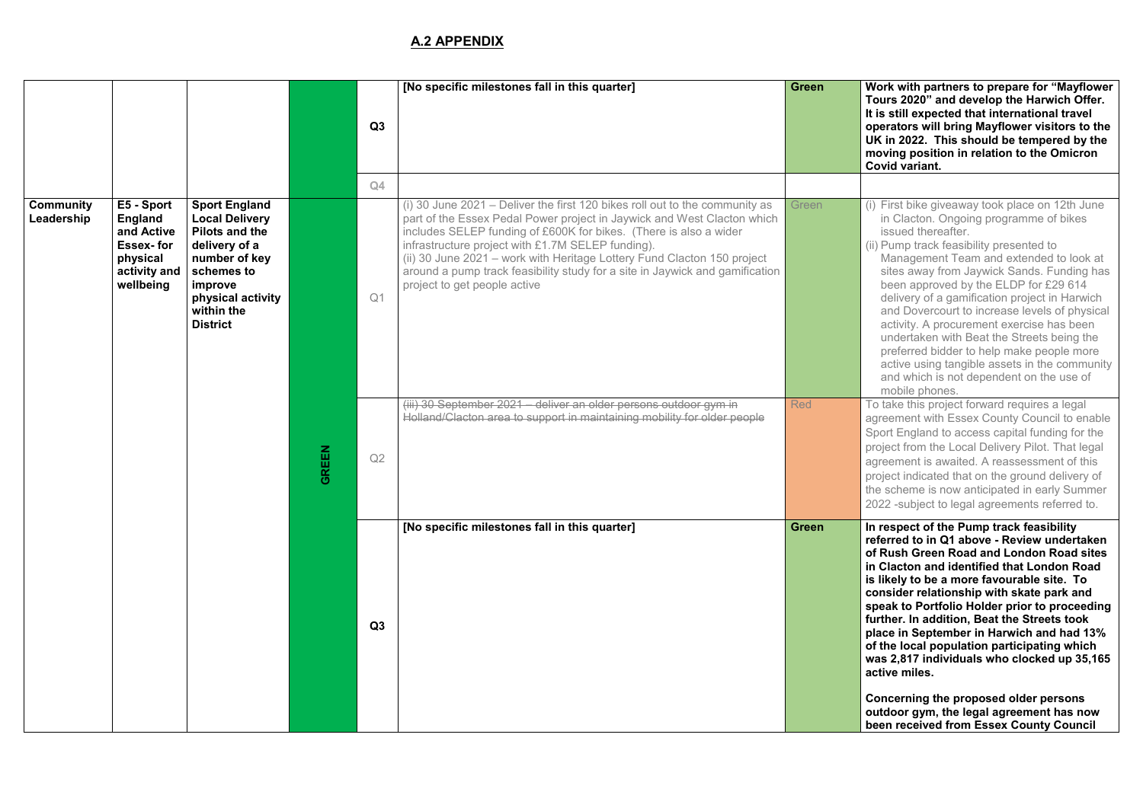**Work with partners to prepare for "Mayflower" Tours 2020" and develop the Harwich Offer. It is still expected that international travel operators will bring Mayflower visitors to the UK in 2022. This should be tempered by the moving position in relation to the Omicron Covid variant.** 

- $(i)$  First bike giveaway took place on 12th June in Clacton. Ongoing programme of bikes issued thereafter.
- (ii) Pump track feasibility presented to Management Team and extended to look at sites away from Jaywick Sands. Funding has been approved by the ELDP for £29 614 delivery of a gamification project in Harwich and Dovercourt to increase levels of physical activity. A procurement exercise has been undertaken with Beat the Streets being the preferred bidder to help make people more active using tangible assets in the community and which is not dependent on the use of mobile phones.

To take this project forward requires a legal agreement with Essex County Council to enable Sport England to access capital funding for the project from the Local Delivery Pilot. That legal agreement is awaited. A reassessment of this project indicated that on the ground delivery of the scheme is now anticipated in early Summer 2022 -subject to legal agreements referred to.

|                                |                                                                                                         |                                                                                                                                                                                         |              |                | [No specific milestones fall in this quarter]                                                                                                                                                                                                                                                                                                                                                                                                                               | <b>Green</b> |
|--------------------------------|---------------------------------------------------------------------------------------------------------|-----------------------------------------------------------------------------------------------------------------------------------------------------------------------------------------|--------------|----------------|-----------------------------------------------------------------------------------------------------------------------------------------------------------------------------------------------------------------------------------------------------------------------------------------------------------------------------------------------------------------------------------------------------------------------------------------------------------------------------|--------------|
|                                |                                                                                                         |                                                                                                                                                                                         |              | Q3             |                                                                                                                                                                                                                                                                                                                                                                                                                                                                             |              |
|                                |                                                                                                         |                                                                                                                                                                                         |              | Q4             |                                                                                                                                                                                                                                                                                                                                                                                                                                                                             |              |
| <b>Community</b><br>Leadership | E5 - Sport<br><b>England</b><br>and Active<br><b>Essex-for</b><br>physical<br>activity and<br>wellbeing | <b>Sport England</b><br><b>Local Delivery</b><br><b>Pilots and the</b><br>delivery of a<br>number of key<br>schemes to<br>improve<br>physical activity<br>within the<br><b>District</b> |              | Q <sub>1</sub> | (i) 30 June 2021 – Deliver the first 120 bikes roll out to the community as<br>part of the Essex Pedal Power project in Jaywick and West Clacton which<br>includes SELEP funding of £600K for bikes. (There is also a wider<br>infrastructure project with £1.7M SELEP funding).<br>(ii) 30 June 2021 - work with Heritage Lottery Fund Clacton 150 project<br>around a pump track feasibility study for a site in Jaywick and gamification<br>project to get people active | Green        |
|                                |                                                                                                         |                                                                                                                                                                                         | <b>GREEN</b> | Q2             | (iii) 30 September 2021 - deliver an older persons outdoor gym in<br>Holland/Clacton area to support in maintaining mobility for older people                                                                                                                                                                                                                                                                                                                               | <b>Red</b>   |
|                                |                                                                                                         |                                                                                                                                                                                         |              | Q3             | [No specific milestones fall in this quarter]                                                                                                                                                                                                                                                                                                                                                                                                                               | <b>Green</b> |

In respect of the Pump track feasibility **referred to in Q1 above - Review undertaken of Rush Green Road and London Road sites in Clacton and identified that London Road is likely to be a more favourable site. To consider relationship with skate park and speak to Portfolio Holder prior to proceeding further. In addition, Beat the Streets took place in September in Harwich and had 13% of the local population participating which was 2,817 individuals who clocked up 35,165 active miles.** 

**Concerning the proposed older persons outdoor gym, the legal agreement has now been received from Essex County Council**